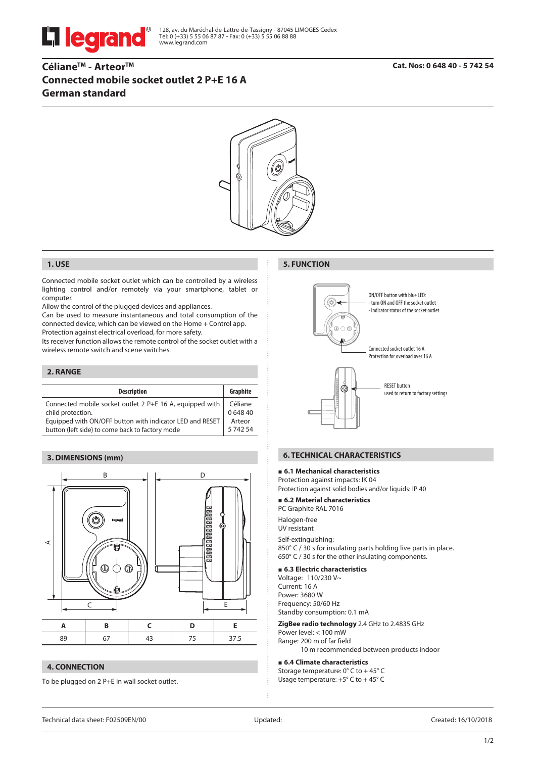

128, av. du Maréchal-de-Lattre-de-Tassigny - 87045 LIMOGES Cedex Tel: 0 (+33) 5 55 06 87 87 - Fax: 0 (+33) 5 55 06 88 88 www.legrand.com

# **CélianeTM - ArteorTM Connected mobile socket outlet 2 P+E 16 A German standard**



#### **1. USE**

Connected mobile socket outlet which can be controlled by a wireless lighting control and/or remotely via your smartphone, tablet or computer.

Allow the control of the plugged devices and appliances.

Can be used to measure instantaneous and total consumption of the connected device, which can be viewed on the Home + Control app. Protection against electrical overload, for more safety.

Its receiver function allows the remote control of the socket outlet with a wireless remote switch and scene switches.

## **2. RANGE**

| <b>Description</b>                                       | Graphite |
|----------------------------------------------------------|----------|
| Connected mobile socket outlet 2 P+E 16 A, equipped with | Céliane  |
| child protection.                                        | 064840   |
| Equipped with ON/OFF button with indicator LED and RESET | Arteor   |
| button (left side) to come back to factory mode          | 574254   |

#### **3. DIMENSIONS (mm)**



## **4. CONNECTION**

To be plugged on 2 P+E in wall socket outlet.

#### **5. FUNCTION**



## **6. TECHNICAL CHARACTERISTICS**

#### **6.1 Mechanical characteristics**

Protection against impacts: IK 04 Protection against solid bodies and/or liquids: IP 40

#### **6.2 Material characteristics** PC Graphite RAL 7016

Halogen-free UV resistant

Self-extinguishing: 850° C / 30 s for insulating parts holding live parts in place. 650° C / 30 s for the other insulating components.

#### **6.3 Electric characteristics**

Voltage: 110/230 V~ Current: 16 A Power: 3680 W Frequency: 50/60 Hz Standby consumption: 0.1 mA

**ZigBee radio technology** 2.4 GHz to 2.4835 GHz

Power level: < 100 mW Range: 200 m of far field 10 m recommended between products indoor

#### **6.4 Climate characteristics**

Storage temperature: 0° C to + 45° C Usage temperature: +5° C to + 45° C